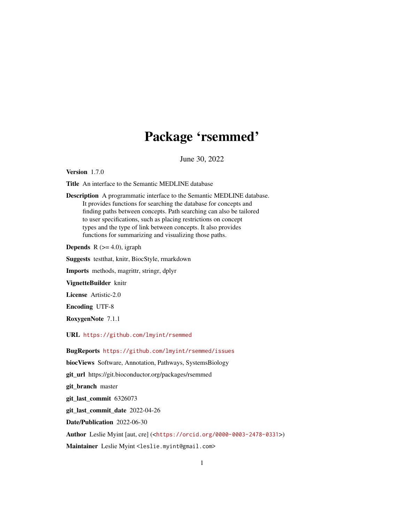# Package 'rsemmed'

June 30, 2022

Version 1.7.0

Title An interface to the Semantic MEDLINE database

Description A programmatic interface to the Semantic MEDLINE database. It provides functions for searching the database for concepts and finding paths between concepts. Path searching can also be tailored to user specifications, such as placing restrictions on concept types and the type of link between concepts. It also provides functions for summarizing and visualizing those paths.

**Depends** R  $(>= 4.0)$ , igraph

Suggests testthat, knitr, BiocStyle, rmarkdown

Imports methods, magrittr, stringr, dplyr

VignetteBuilder knitr

License Artistic-2.0

Encoding UTF-8

RoxygenNote 7.1.1

URL <https://github.com/lmyint/rsemmed>

BugReports <https://github.com/lmyint/rsemmed/issues>

biocViews Software, Annotation, Pathways, SystemsBiology git\_url https://git.bioconductor.org/packages/rsemmed git\_branch master git\_last\_commit 6326073 git\_last\_commit\_date 2022-04-26 Date/Publication 2022-06-30 Author Leslie Myint [aut, cre] (<<https://orcid.org/0000-0003-2478-0331>>)

Maintainer Leslie Myint <leslie.myint@gmail.com>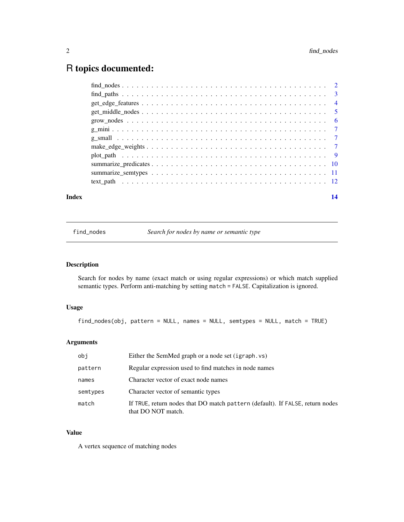## <span id="page-1-0"></span>R topics documented:

| Index | 14 |
|-------|----|
|       |    |
|       |    |
|       |    |
|       |    |
|       |    |
|       |    |
|       |    |
|       |    |
|       |    |
|       |    |
|       |    |
|       |    |

<span id="page-1-1"></span>find\_nodes *Search for nodes by name or semantic type*

### Description

Search for nodes by name (exact match or using regular expressions) or which match supplied semantic types. Perform anti-matching by setting match = FALSE. Capitalization is ignored.

#### Usage

find\_nodes(obj, pattern = NULL, names = NULL, semtypes = NULL, match = TRUE)

#### Arguments

| obi      | Either the SemMed graph or a node set (igraph.vs)                                                   |
|----------|-----------------------------------------------------------------------------------------------------|
| pattern  | Regular expression used to find matches in node names                                               |
| names    | Character vector of exact node names                                                                |
| semtypes | Character vector of semantic types                                                                  |
| match    | If TRUE, return nodes that DO match pattern (default). If FALSE, return nodes<br>that DO NOT match. |

#### Value

A vertex sequence of matching nodes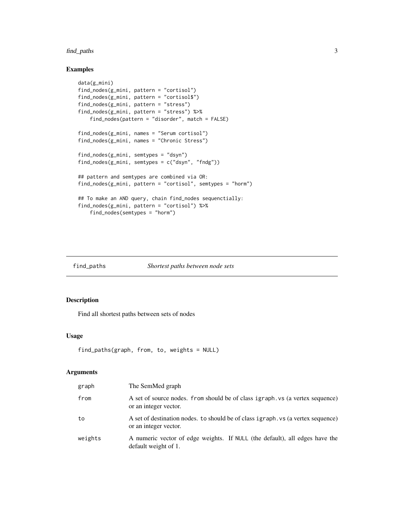#### <span id="page-2-0"></span>find\_paths 3

#### Examples

```
data(g_mini)
find_nodes(g_mini, pattern = "cortisol")
find_nodes(g_mini, pattern = "cortisol$")
find_nodes(g_mini, pattern = "stress")
find_nodes(g_mini, pattern = "stress") %>%
   find_nodes(pattern = "disorder", match = FALSE)
find_nodes(g_mini, names = "Serum cortisol")
find_nodes(g_mini, names = "Chronic Stress")
find_nodes(g_mini, semtypes = "dsyn")
find_nodes(g_mini, semtypes = c("dsyn", "fndg"))
## pattern and semtypes are combined via OR:
find_nodes(g_mini, pattern = "cortisol", semtypes = "horm")
## To make an AND query, chain find_nodes sequenctially:
find_nodes(g_mini, pattern = "cortisol") %>%
    find_nodes(semtypes = "horm")
```
<span id="page-2-1"></span>find\_paths *Shortest paths between node sets*

#### Description

Find all shortest paths between sets of nodes

#### Usage

```
find_paths(graph, from, to, weights = NULL)
```
#### Arguments

| graph   | The SemMed graph                                                                                          |
|---------|-----------------------------------------------------------------------------------------------------------|
| from    | A set of source nodes. from should be of class igraph. vs (a vertex sequence)<br>or an integer vector.    |
| to      | A set of destination nodes, to should be of class igraph, vs (a vertex sequence)<br>or an integer vector. |
| weights | A numeric vector of edge weights. If NULL (the default), all edges have the<br>default weight of 1.       |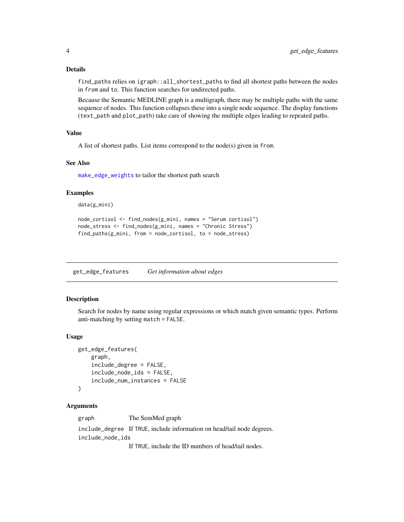#### <span id="page-3-0"></span>Details

find\_paths relies on igraph::all\_shortest\_paths to find all shortest paths between the nodes in from and to. This function searches for undirected paths.

Because the Semantic MEDLINE graph is a multigraph, there may be multiple paths with the same sequence of nodes. This function collapses these into a single node sequence. The display functions (text\_path and plot\_path) take care of showing the multiple edges leading to repeated paths.

#### Value

A list of shortest paths. List items correspond to the node(s) given in from.

#### See Also

[make\\_edge\\_weights](#page-6-1) to tailor the shortest path search

#### Examples

```
data(g_mini)
```

```
node_cortisol <- find_nodes(g_mini, names = "Serum cortisol")
node_stress <- find_nodes(g_mini, names = "Chronic Stress")
find_paths(g_mini, from = node_cortisol, to = node_stress)
```
get\_edge\_features *Get information about edges*

#### **Description**

Search for nodes by name using regular expressions or which match given semantic types. Perform anti-matching by setting match = FALSE.

#### Usage

```
get_edge_features(
    graph,
    include_degree = FALSE,
    include_node_ids = FALSE,
    include_num_instances = FALSE
)
```
#### Arguments

graph The SemMed graph

include\_degree If TRUE, include information on head/tail node degrees. include\_node\_ids

If TRUE, include the ID numbers of head/tail nodes.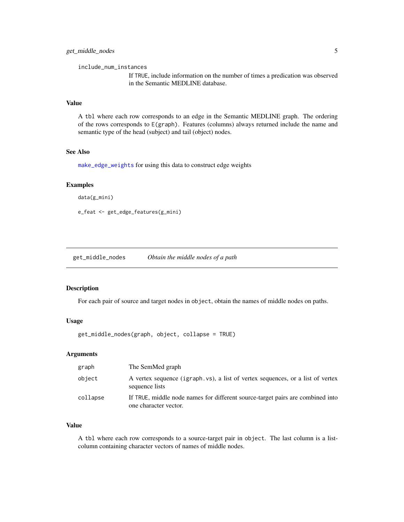<span id="page-4-0"></span>include\_num\_instances

If TRUE, include information on the number of times a predication was observed in the Semantic MEDLINE database.

#### Value

A tbl where each row corresponds to an edge in the Semantic MEDLINE graph. The ordering of the rows corresponds to E(graph). Features (columns) always returned include the name and semantic type of the head (subject) and tail (object) nodes.

#### See Also

[make\\_edge\\_weights](#page-6-1) for using this data to construct edge weights

#### Examples

data(g\_mini)

```
e_feat <- get_edge_features(g_mini)
```
<span id="page-4-1"></span>get\_middle\_nodes *Obtain the middle nodes of a path*

#### Description

For each pair of source and target nodes in object, obtain the names of middle nodes on paths.

#### Usage

get\_middle\_nodes(graph, object, collapse = TRUE)

#### Arguments

| graph    | The SemMed graph                                                                                        |
|----------|---------------------------------------------------------------------------------------------------------|
| object   | A vertex sequence (igraph.vs), a list of vertex sequences, or a list of vertex<br>sequence lists        |
| collapse | If TRUE, middle node names for different source-target pairs are combined into<br>one character vector. |

#### Value

A tbl where each row corresponds to a source-target pair in object. The last column is a listcolumn containing character vectors of names of middle nodes.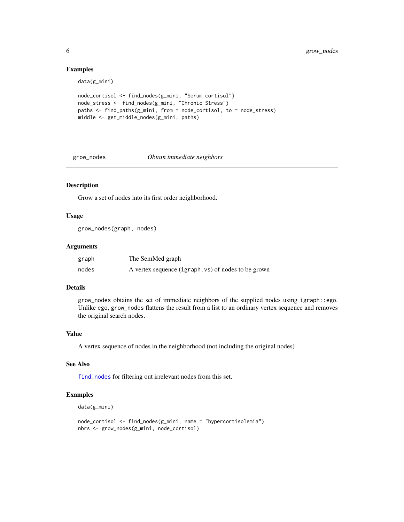#### Examples

data(g\_mini)

```
node_cortisol <- find_nodes(g_mini, "Serum cortisol")
node_stress <- find_nodes(g_mini, "Chronic Stress")
paths <- find_paths(g_mini, from = node_cortisol, to = node_stress)
middle <- get_middle_nodes(g_mini, paths)
```
<span id="page-5-1"></span>grow\_nodes *Obtain immediate neighbors*

#### Description

Grow a set of nodes into its first order neighborhood.

#### Usage

grow\_nodes(graph, nodes)

#### Arguments

| graph | The SemMed graph                                   |
|-------|----------------------------------------------------|
| nodes | A vertex sequence (igraph.vs) of nodes to be grown |

#### Details

grow\_nodes obtains the set of immediate neighbors of the supplied nodes using igraph::ego. Unlike ego, grow\_nodes flattens the result from a list to an ordinary vertex sequence and removes the original search nodes.

#### Value

A vertex sequence of nodes in the neighborhood (not including the original nodes)

#### See Also

[find\\_nodes](#page-1-1) for filtering out irrelevant nodes from this set.

```
data(g_mini)
```

```
node_cortisol <- find_nodes(g_mini, name = "hypercortisolemia")
nbrs <- grow_nodes(g_mini, node_cortisol)
```
<span id="page-5-0"></span>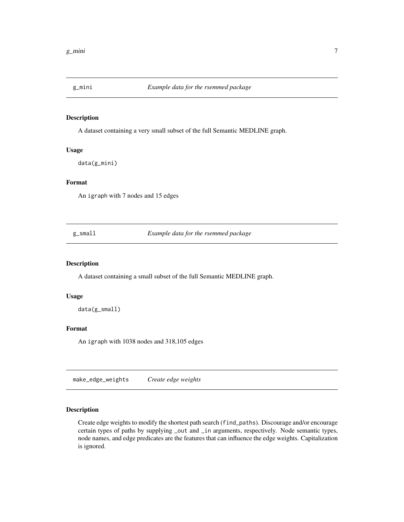<span id="page-6-0"></span>

#### Description

A dataset containing a very small subset of the full Semantic MEDLINE graph.

#### Usage

```
data(g_mini)
```
#### Format

An igraph with 7 nodes and 15 edges

g\_small *Example data for the rsemmed package*

#### Description

A dataset containing a small subset of the full Semantic MEDLINE graph.

#### Usage

data(g\_small)

#### Format

An igraph with 1038 nodes and 318,105 edges

<span id="page-6-1"></span>make\_edge\_weights *Create edge weights*

#### Description

Create edge weights to modify the shortest path search (find\_paths). Discourage and/or encourage certain types of paths by supplying \_out and \_in arguments, respectively. Node semantic types, node names, and edge predicates are the features that can influence the edge weights. Capitalization is ignored.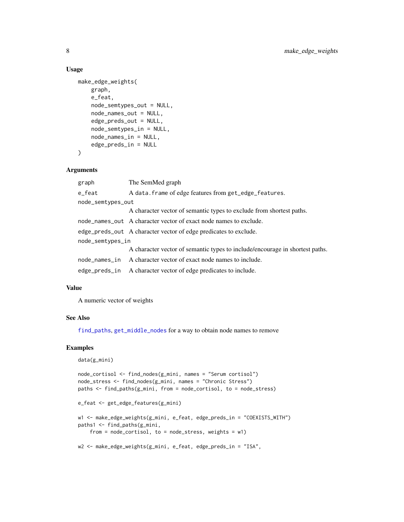#### Usage

```
make_edge_weights(
   graph,
    e_feat,
    node_semtypes_out = NULL,
    node_names_out = NULL,
    edge_preds_out = NULL,
    node_semtypes_in = NULL,
    node_names_in = NULL,
   edge_preds_in = NULL
)
```
#### **Arguments**

| graph             | The SemMed graph                                                             |  |
|-------------------|------------------------------------------------------------------------------|--|
| e_feat            | A data. frame of edge features from get_edge_features.                       |  |
| node_semtypes_out |                                                                              |  |
|                   | A character vector of semantic types to exclude from shortest paths.         |  |
|                   | node_names_out A character vector of exact node names to exclude.            |  |
|                   | edge_preds_out A character vector of edge predicates to exclude.             |  |
| node_semtypes_in  |                                                                              |  |
|                   | A character vector of semantic types to include/encourage in shortest paths. |  |
|                   | node_names_in A character vector of exact node names to include.             |  |
| edge_preds_in     | A character vector of edge predicates to include.                            |  |
|                   |                                                                              |  |

#### Value

A numeric vector of weights

#### See Also

[find\\_paths](#page-2-1), [get\\_middle\\_nodes](#page-4-1) for a way to obtain node names to remove

```
data(g_mini)
node_cortisol <- find_nodes(g_mini, names = "Serum cortisol")
node_stress <- find_nodes(g_mini, names = "Chronic Stress")
paths <- find_paths(g_mini, from = node_cortisol, to = node_stress)
e_feat <- get_edge_features(g_mini)
w1 <- make_edge_weights(g_mini, e_feat, edge_preds_in = "COEXISTS_WITH")
paths1 <- find_paths(g_mini,
    from = node_cortisol, to = node_stress, weights = w1)
w2 <- make_edge_weights(g_mini, e_feat, edge_preds_in = "ISA",
```
<span id="page-7-0"></span>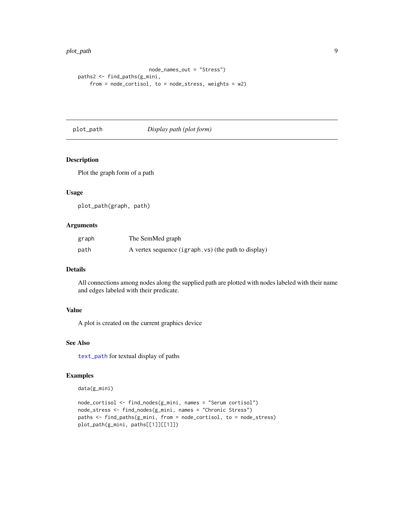<span id="page-8-0"></span>plot\_path 90  $\,$  90  $\,$ 

```
node_names_out = "Stress")
paths2 <- find_paths(g_mini,
    from = node_cortisol, to = node_stress, weights = w2)
```
#### <span id="page-8-1"></span>plot\_path *Display path (plot form)*

#### Description

Plot the graph form of a path

#### Usage

plot\_path(graph, path)

#### Arguments

| graph | The SemMed graph                                    |
|-------|-----------------------------------------------------|
| path  | A vertex sequence (igraph.vs) (the path to display) |

#### Details

All connections among nodes along the supplied path are plotted with nodes labeled with their name and edges labeled with their predicate.

#### Value

A plot is created on the current graphics device

#### See Also

[text\\_path](#page-11-1) for textual display of paths

```
data(g_mini)
```

```
node_cortisol <- find_nodes(g_mini, names = "Serum cortisol")
node_stress <- find_nodes(g_mini, names = "Chronic Stress")
paths <- find_paths(g_mini, from = node_cortisol, to = node_stress)
plot_path(g_mini, paths[[1]][[1]])
```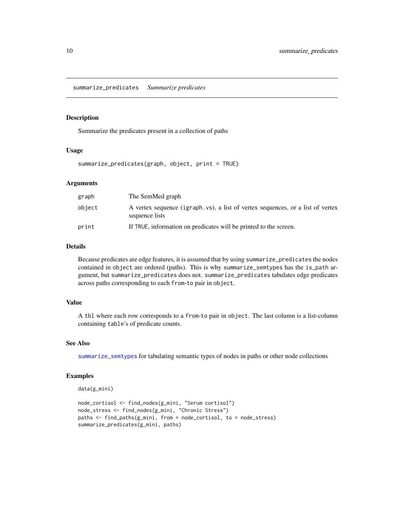<span id="page-9-1"></span><span id="page-9-0"></span>summarize\_predicates *Summarize predicates*

#### Description

Summarize the predicates present in a collection of paths

#### Usage

summarize\_predicates(graph, object, print = TRUE)

#### Arguments

| graph  | The SemMed graph                                                                                 |
|--------|--------------------------------------------------------------------------------------------------|
| object | A vertex sequence (igraph.vs), a list of vertex sequences, or a list of vertex<br>sequence lists |
| print  | If TRUE, information on predicates will be printed to the screen.                                |

#### Details

Because predicates are edge features, it is assumed that by using summarize\_predicates the nodes contained in object are ordered (paths). This is why summarize\_semtypes has the is\_path argument, but summarize\_predicates does not. summarize\_predicates tabulates edge predicates across paths corresponding to each from-to pair in object.

#### Value

A tbl where each row corresponds to a from-to pair in object. The last column is a list-column containing table's of predicate counts.

#### See Also

[summarize\\_semtypes](#page-10-1) for tabulating semantic types of nodes in paths or other node collections

```
data(g_mini)
```

```
node_cortisol <- find_nodes(g_mini, "Serum cortisol")
node_stress <- find_nodes(g_mini, "Chronic Stress")
paths <- find_paths(g_mini, from = node_cortisol, to = node_stress)
summarize_predicates(g_mini, paths)
```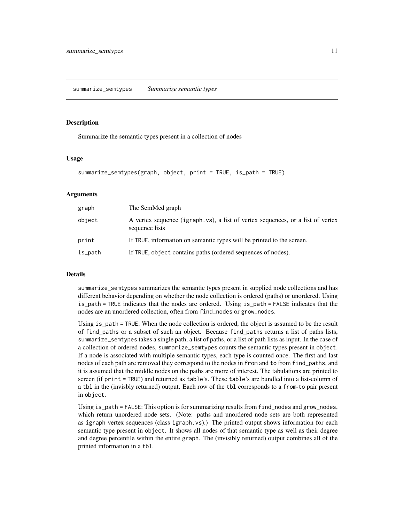<span id="page-10-1"></span><span id="page-10-0"></span>summarize\_semtypes *Summarize semantic types*

#### Description

Summarize the semantic types present in a collection of nodes

#### Usage

```
summarize_semtypes(graph, object, print = TRUE, is_path = TRUE)
```
#### Arguments

| graph   | The SemMed graph                                                                                 |
|---------|--------------------------------------------------------------------------------------------------|
| object  | A vertex sequence (igraph.vs), a list of vertex sequences, or a list of vertex<br>sequence lists |
| print   | If TRUE, information on semantic types will be printed to the screen.                            |
| is_path | If TRUE, object contains paths (ordered sequences of nodes).                                     |

#### Details

summarize\_semtypes summarizes the semantic types present in supplied node collections and has different behavior depending on whether the node collection is ordered (paths) or unordered. Using is\_path = TRUE indicates that the nodes are ordered. Using is\_path = FALSE indicates that the nodes are an unordered collection, often from find\_nodes or grow\_nodes.

Using is\_path = TRUE: When the node collection is ordered, the object is assumed to be the result of find\_paths or a subset of such an object. Because find\_paths returns a list of paths lists, summarize\_semtypes takes a single path, a list of paths, or a list of path lists as input. In the case of a collection of ordered nodes, summarize\_semtypes counts the semantic types present in object. If a node is associated with multiple semantic types, each type is counted once. The first and last nodes of each path are removed they correspond to the nodes in from and to from find\_paths, and it is assumed that the middle nodes on the paths are more of interest. The tabulations are printed to screen (if print = TRUE) and returned as table's. These table's are bundled into a list-column of a tbl in the (invisbly returned) output. Each row of the tbl corresponds to a from-to pair present in object.

Using is\_path = FALSE: This option is for summarizing results from find\_nodes and grow\_nodes, which return unordered node sets. (Note: paths and unordered node sets are both represented as igraph vertex sequences (class igraph.vs).) The printed output shows information for each semantic type present in object. It shows all nodes of that semantic type as well as their degree and degree percentile within the entire graph. The (invisibly returned) output combines all of the printed information in a tbl.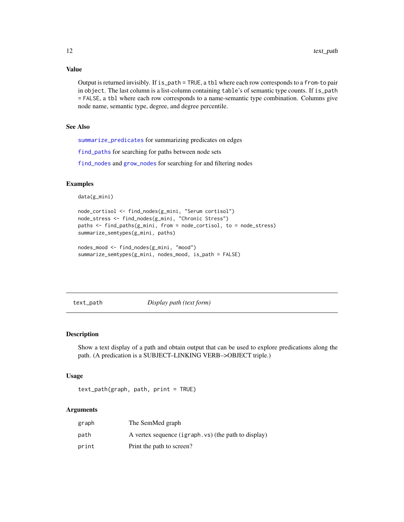#### Value

Output is returned invisibly. If is\_path = TRUE, a tbl where each row corresponds to a from-to pair in object. The last column is a list-column containing table's of semantic type counts. If is\_path = FALSE, a tbl where each row corresponds to a name-semantic type combination. Columns give node name, semantic type, degree, and degree percentile.

#### See Also

[summarize\\_predicates](#page-9-1) for summarizing predicates on edges

[find\\_paths](#page-2-1) for searching for paths between node sets

[find\\_nodes](#page-1-1) and [grow\\_nodes](#page-5-1) for searching for and filtering nodes

#### Examples

```
data(g_mini)
```

```
node_cortisol <- find_nodes(g_mini, "Serum cortisol")
node_stress <- find_nodes(g_mini, "Chronic Stress")
paths <- find_paths(g_mini, from = node_cortisol, to = node_stress)
summarize_semtypes(g_mini, paths)
```

```
nodes_mood <- find_nodes(g_mini, "mood")
summarize_semtypes(g_mini, nodes_mood, is_path = FALSE)
```
<span id="page-11-1"></span>text\_path *Display path (text form)*

#### Description

Show a text display of a path and obtain output that can be used to explore predications along the path. (A predication is a SUBJECT–LINKING VERB–>OBJECT triple.)

#### Usage

```
text_path(graph, path, print = TRUE)
```
#### Arguments

| graph | The SemMed graph                                    |
|-------|-----------------------------------------------------|
| path  | A vertex sequence (igraph.vs) (the path to display) |
| print | Print the path to screen?                           |

<span id="page-11-0"></span>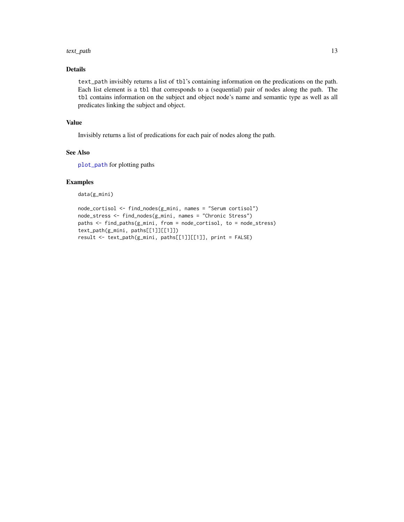#### <span id="page-12-0"></span>text\_path 13

#### Details

text\_path invisibly returns a list of tbl's containing information on the predications on the path. Each list element is a tbl that corresponds to a (sequential) pair of nodes along the path. The tbl contains information on the subject and object node's name and semantic type as well as all predicates linking the subject and object.

#### Value

Invisibly returns a list of predications for each pair of nodes along the path.

#### See Also

[plot\\_path](#page-8-1) for plotting paths

#### Examples

data(g\_mini)

```
node_cortisol <- find_nodes(g_mini, names = "Serum cortisol")
node_stress <- find_nodes(g_mini, names = "Chronic Stress")
paths <- find_paths(g_mini, from = node_cortisol, to = node_stress)
text_path(g_mini, paths[[1]][[1]])
result <- text_path(g_mini, paths[[1]][[1]], print = FALSE)
```